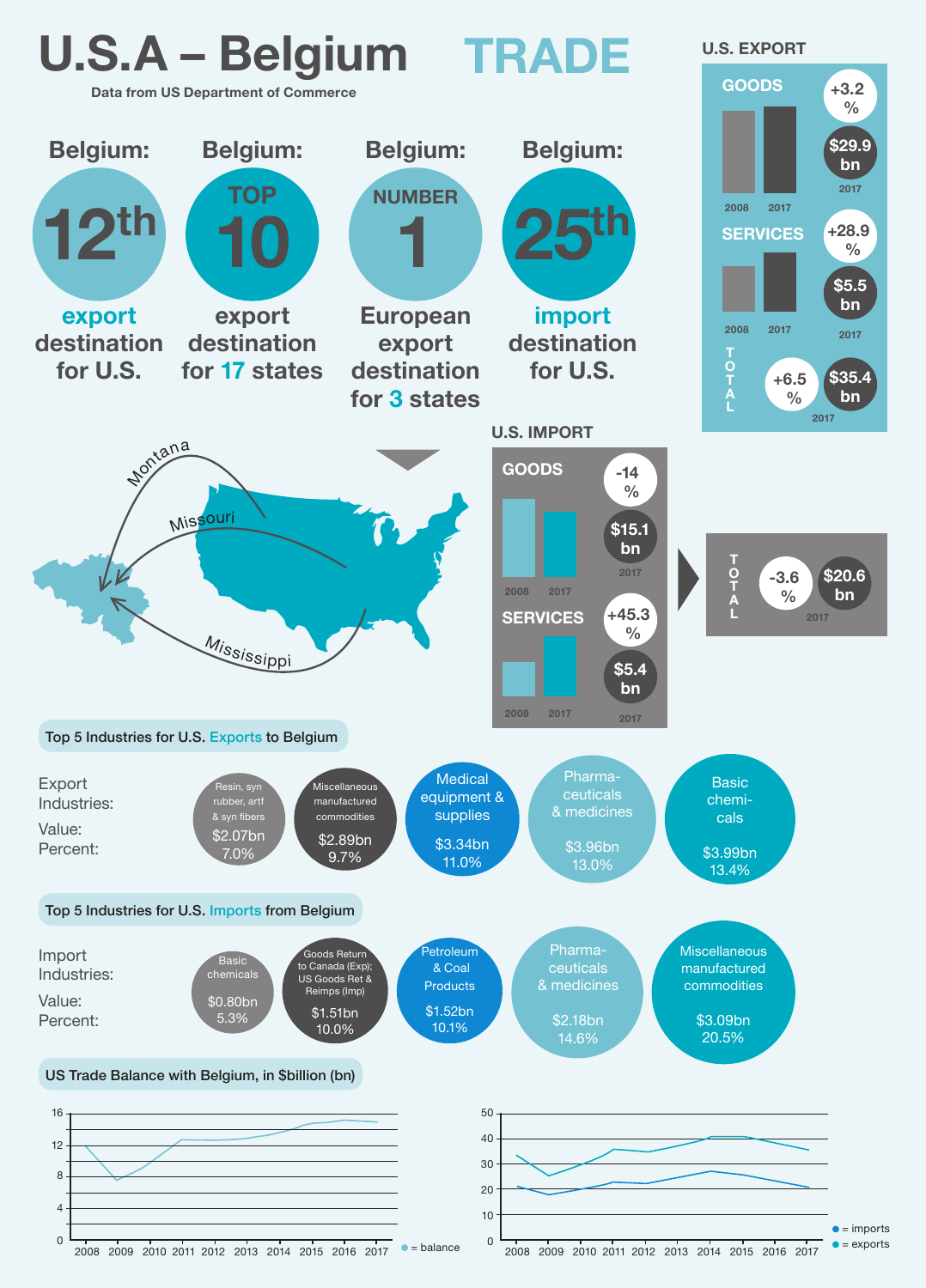